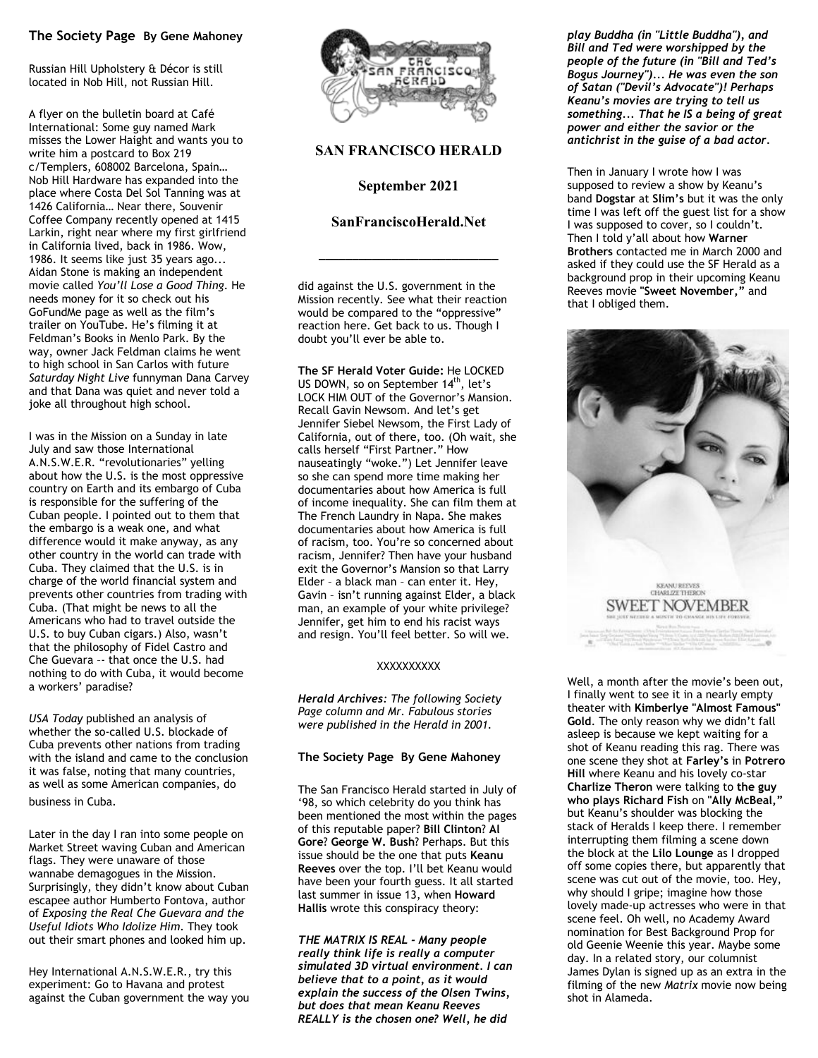# **The Society Page By Gene Mahoney**

Russian Hill Upholstery & Décor is still located in Nob Hill, not Russian Hill.

A flyer on the bulletin board at Café International: Some guy named Mark misses the Lower Haight and wants you to write him a postcard to Box 219 c/Templers, 608002 Barcelona, Spain… Nob Hill Hardware has expanded into the place where Costa Del Sol Tanning was at 1426 California… Near there, Souvenir Coffee Company recently opened at 1415 Larkin, right near where my first girlfriend in California lived, back in 1986. Wow, 1986. It seems like just 35 years ago... Aidan Stone is making an independent movie called *You'll Lose a Good Thing*. He needs money for it so check out his GoFundMe page as well as the film's trailer on YouTube. He's filming it at Feldman's Books in Menlo Park. By the way, owner Jack Feldman claims he went to high school in San Carlos with future *Saturday Night Live* funnyman Dana Carvey and that Dana was quiet and never told a joke all throughout high school.

I was in the Mission on a Sunday in late July and saw those International A.N.S.W.E.R. "revolutionaries" yelling about how the U.S. is the most oppressive country on Earth and its embargo of Cuba is responsible for the suffering of the Cuban people. I pointed out to them that the embargo is a weak one, and what difference would it make anyway, as any other country in the world can trade with Cuba. They claimed that the U.S. is in charge of the world financial system and prevents other countries from trading with Cuba. (That might be news to all the Americans who had to travel outside the U.S. to buy Cuban cigars.) Also, wasn't that the philosophy of Fidel Castro and Che Guevara –- that once the U.S. had nothing to do with Cuba, it would become a workers' paradise?

*USA Today* published an analysis of whether the so-called U.S. blockade of Cuba prevents other nations from trading with the island and came to the conclusion it was false, noting that many countries, as well as some American companies, do business in Cuba.

Later in the day I ran into some people on Market Street waving Cuban and American flags. They were unaware of those wannabe demagogues in the Mission. Surprisingly, they didn't know about Cuban escapee author Humberto Fontova, author of *Exposing the Real Che Guevara and the Useful Idiots Who Idolize Him.* They took out their smart phones and looked him up.

Hey International A.N.S.W.E.R., try this experiment: Go to Havana and protest against the Cuban government the way you



## **SAN FRANCISCO HERALD**

#### **September 2021**

### **SanFranciscoHerald.Net**

**\_\_\_\_\_\_\_\_\_\_\_\_\_\_\_\_\_\_\_\_\_\_\_\_\_\_\_** 

did against the U.S. government in the Mission recently. See what their reaction would be compared to the "oppressive" reaction here. Get back to us. Though I doubt you'll ever be able to.

**The SF Herald Voter Guide:** He LOCKED US DOWN, so on September 14<sup>th</sup>, let's LOCK HIM OUT of the Governor's Mansion. Recall Gavin Newsom. And let's get Jennifer Siebel Newsom, the First Lady of California, out of there, too. (Oh wait, she calls herself "First Partner." How nauseatingly "woke.") Let Jennifer leave so she can spend more time making her documentaries about how America is full of income inequality. She can film them at The French Laundry in Napa. She makes documentaries about how America is full of racism, too. You're so concerned about racism, Jennifer? Then have your husband exit the Governor's Mansion so that Larry Elder – a black man – can enter it. Hey, Gavin – isn't running against Elder, a black man, an example of your white privilege? Jennifer, get him to end his racist ways and resign. You'll feel better. So will we.

#### **XXXXXXXXX**

*Herald Archives: The following Society Page column and Mr. Fabulous stories were published in the Herald in 2001.* 

#### **The Society Page By Gene Mahoney**

The San Francisco Herald started in July of '98, so which celebrity do you think has been mentioned the most within the pages of this reputable paper? **Bill Clinton**? **Al Gore**? **George W. Bush**? Perhaps. But this issue should be the one that puts **Keanu Reeves** over the top. I'll bet Keanu would have been your fourth guess. It all started last summer in issue 13, when **Howard Hallis** wrote this conspiracy theory:

*THE MATRIX IS REAL - Many people really think life is really a computer simulated 3D virtual environment. I can believe that to a point, as it would explain the success of the Olsen Twins, but does that mean Keanu Reeves REALLY is the chosen one? Well, he did* 

*play Buddha (in "Little Buddha"), and Bill and Ted were worshipped by the people of the future (in "Bill and Ted's Bogus Journey")... He was even the son of Satan ("Devil's Advocate")! Perhaps Keanu's movies are trying to tell us something... That he IS a being of great power and either the savior or the antichrist in the guise of a bad actor.*

Then in January I wrote how I was supposed to review a show by Keanu's band **Dogstar** at **Slim's** but it was the only time I was left off the guest list for a show I was supposed to cover, so I couldn't. Then I told y'all about how **Warner Brothers** contacted me in March 2000 and asked if they could use the SF Herald as a background prop in their upcoming Keanu Reeves movie **"Sweet November,"** and that I obliged them.



Well, a month after the movie's been out, I finally went to see it in a nearly empty theater with **Kimberlye "Almost Famous" Gold**. The only reason why we didn't fall asleep is because we kept waiting for a shot of Keanu reading this rag. There was one scene they shot at **Farley's** in **Potrero Hill** where Keanu and his lovely co-star **Charlize Theron** were talking to **the guy who plays Richard Fish** on **"Ally McBeal,"** but Keanu's shoulder was blocking the stack of Heralds I keep there. I remember interrupting them filming a scene down the block at the **Lilo Lounge** as I dropped off some copies there, but apparently that scene was cut out of the movie, too. Hey, why should I gripe; imagine how those lovely made-up actresses who were in that scene feel. Oh well, no Academy Award nomination for Best Background Prop for old Geenie Weenie this year. Maybe some day. In a related story, our columnist James Dylan is signed up as an extra in the filming of the new *Matrix* movie now being shot in Alameda.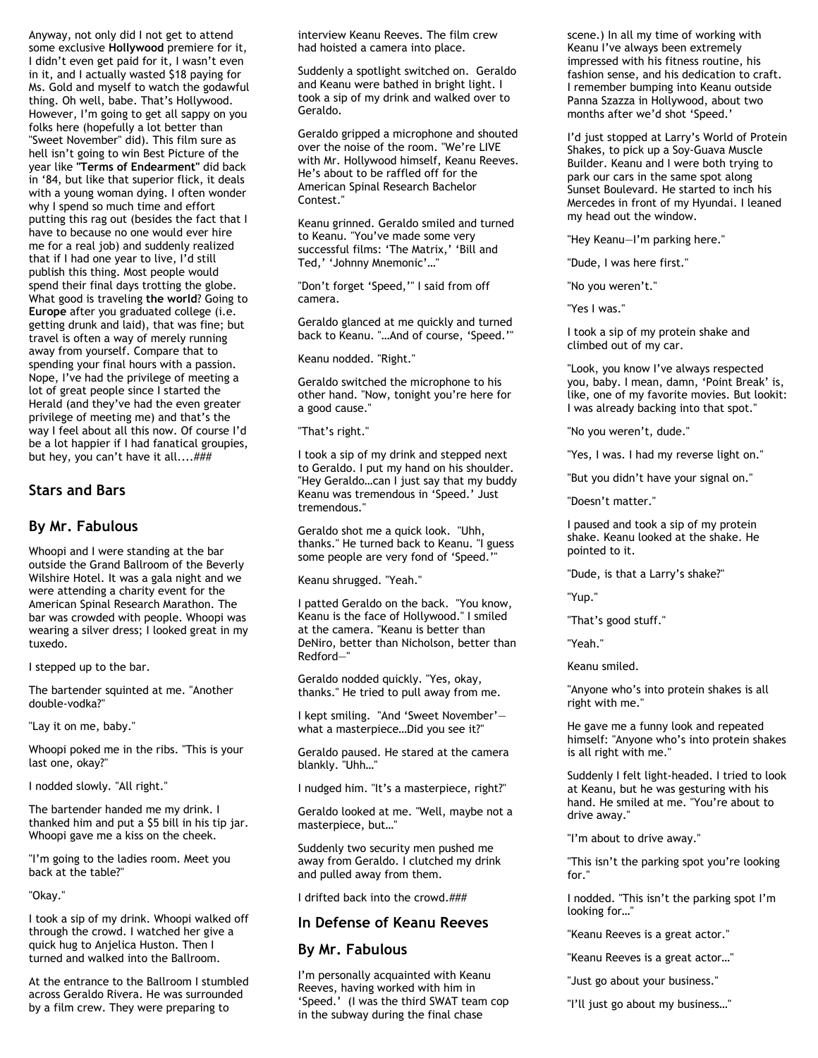Anyway, not only did I not get to attend some exclusive **Hollywood** premiere for it, I didn't even get paid for it, I wasn't even in it, and I actually wasted \$18 paying for Ms. Gold and myself to watch the godawful thing. Oh well, babe. That's Hollywood. However, I'm going to get all sappy on you folks here (hopefully a lot better than "Sweet November" did). This film sure as hell isn't going to win Best Picture of the year like **"Terms of Endearment"** did back in '84, but like that superior flick, it deals with a young woman dying. I often wonder why I spend so much time and effort putting this rag out (besides the fact that I have to because no one would ever hire me for a real job) and suddenly realized that if I had one year to live, I'd still publish this thing. Most people would spend their final days trotting the globe. What good is traveling **the world**? Going to **Europe** after you graduated college (i.e. getting drunk and laid), that was fine; but travel is often a way of merely running away from yourself. Compare that to spending your final hours with a passion. Nope, I've had the privilege of meeting a lot of great people since I started the Herald (and they've had the even greater privilege of meeting me) and that's the way I feel about all this now. Of course I'd be a lot happier if I had fanatical groupies, but hey, you can't have it all....###

### **Stars and Bars**

# **By Mr. Fabulous**

Whoopi and I were standing at the bar outside the Grand Ballroom of the Beverly Wilshire Hotel. It was a gala night and we were attending a charity event for the American Spinal Research Marathon. The bar was crowded with people. Whoopi was wearing a silver dress; I looked great in my tuxedo.

I stepped up to the bar.

The bartender squinted at me. "Another double-vodka?"

"Lay it on me, baby."

Whoopi poked me in the ribs. "This is your last one, okay?"

I nodded slowly. "All right."

The bartender handed me my drink. I thanked him and put a \$5 bill in his tip jar. Whoopi gave me a kiss on the cheek.

"I'm going to the ladies room. Meet you back at the table?"

"Okay."

I took a sip of my drink. Whoopi walked off through the crowd. I watched her give a quick hug to Anjelica Huston. Then I turned and walked into the Ballroom.

At the entrance to the Ballroom I stumbled across Geraldo Rivera. He was surrounded by a film crew. They were preparing to

interview Keanu Reeves. The film crew had hoisted a camera into place.

Suddenly a spotlight switched on. Geraldo and Keanu were bathed in bright light. I took a sip of my drink and walked over to Geraldo.

Geraldo gripped a microphone and shouted over the noise of the room. "We're LIVE with Mr. Hollywood himself, Keanu Reeves. He's about to be raffled off for the American Spinal Research Bachelor Contest."

Keanu grinned. Geraldo smiled and turned to Keanu. "You've made some very successful films: 'The Matrix,' 'Bill and Ted,' 'Johnny Mnemonic'…"

"Don't forget 'Speed,'" I said from off camera.

Geraldo glanced at me quickly and turned back to Keanu. "…And of course, 'Speed.'"

Keanu nodded. "Right."

Geraldo switched the microphone to his other hand. "Now, tonight you're here for a good cause."

"That's right."

I took a sip of my drink and stepped next to Geraldo. I put my hand on his shoulder. "Hey Geraldo…can I just say that my buddy Keanu was tremendous in 'Speed.' Just tremendous."

Geraldo shot me a quick look. "Uhh, thanks." He turned back to Keanu. "I guess some people are very fond of 'Speed.'"

Keanu shrugged. "Yeah."

I patted Geraldo on the back. "You know, Keanu is the face of Hollywood." I smiled at the camera. "Keanu is better than DeNiro, better than Nicholson, better than Redford—"

Geraldo nodded quickly. "Yes, okay, thanks." He tried to pull away from me.

I kept smiling. "And 'Sweet November' what a masterpiece…Did you see it?"

Geraldo paused. He stared at the camera blankly. "Uhh…"

I nudged him. "It's a masterpiece, right?"

Geraldo looked at me. "Well, maybe not a masterpiece, but…"

Suddenly two security men pushed me away from Geraldo. I clutched my drink and pulled away from them.

I drifted back into the crowd.###

# **In Defense of Keanu Reeves**

# **By Mr. Fabulous**

I'm personally acquainted with Keanu Reeves, having worked with him in 'Speed.' (I was the third SWAT team cop in the subway during the final chase

scene.) In all my time of working with Keanu I've always been extremely impressed with his fitness routine, his fashion sense, and his dedication to craft. I remember bumping into Keanu outside Panna Szazza in Hollywood, about two months after we'd shot 'Speed.'

I'd just stopped at Larry's World of Protein Shakes, to pick up a Soy-Guava Muscle Builder. Keanu and I were both trying to park our cars in the same spot along Sunset Boulevard. He started to inch his Mercedes in front of my Hyundai. I leaned my head out the window.

"Hey Keanu—I'm parking here."

"Dude, I was here first."

"No you weren't."

"Yes I was."

I took a sip of my protein shake and climbed out of my car.

"Look, you know I've always respected you, baby. I mean, damn, 'Point Break' is, like, one of my favorite movies. But lookit: I was already backing into that spot."

"No you weren't, dude."

"Yes, I was. I had my reverse light on."

"But you didn't have your signal on."

"Doesn't matter."

I paused and took a sip of my protein shake. Keanu looked at the shake. He pointed to it.

"Dude, is that a Larry's shake?"

"Yup."

"That's good stuff."

"Yeah."

Keanu smiled.

"Anyone who's into protein shakes is all right with me."

He gave me a funny look and repeated himself: "Anyone who's into protein shakes is all right with me."

Suddenly I felt light-headed. I tried to look at Keanu, but he was gesturing with his hand. He smiled at me. "You're about to drive away."

"I'm about to drive away."

"This isn't the parking spot you're looking for."

I nodded. "This isn't the parking spot I'm looking for…"

"Keanu Reeves is a great actor."

"Keanu Reeves is a great actor…"

"Just go about your business."

"I'll just go about my business…"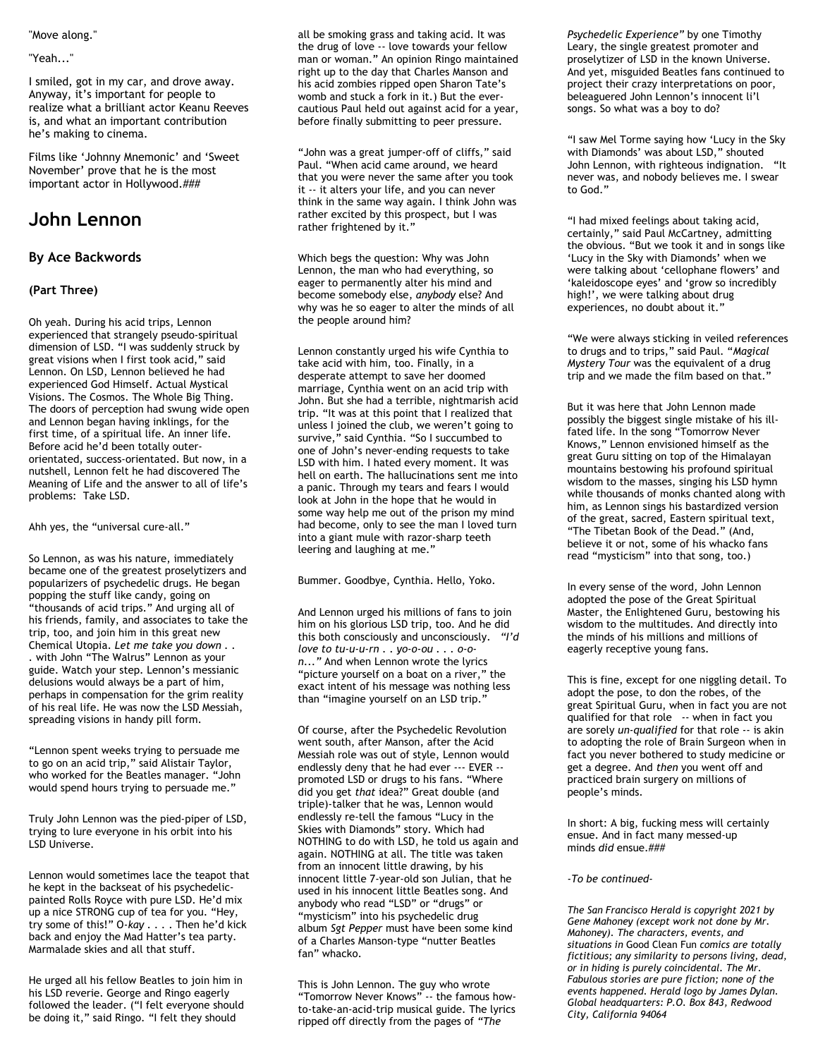#### "Move along."

#### "Yeah..."

I smiled, got in my car, and drove away. Anyway, it's important for people to realize what a brilliant actor Keanu Reeves is, and what an important contribution he's making to cinema.

Films like 'Johnny Mnemonic' and 'Sweet November' prove that he is the most important actor in Hollywood.###

# **John Lennon**

#### **By Ace Backwords**

#### **(Part Three)**

Oh yeah. During his acid trips, Lennon experienced that strangely pseudo-spiritual dimension of LSD. "I was suddenly struck by great visions when I first took acid," said Lennon. On LSD, Lennon believed he had experienced God Himself. Actual Mystical Visions. The Cosmos. The Whole Big Thing. The doors of perception had swung wide open and Lennon began having inklings, for the first time, of a spiritual life. An inner life. Before acid he'd been totally outerorientated, success-orientated. But now, in a nutshell, Lennon felt he had discovered The Meaning of Life and the answer to all of life's problems: Take LSD.

Ahh yes, the "universal cure-all."

So Lennon, as was his nature, immediately became one of the greatest proselytizers and popularizers of psychedelic drugs. He began popping the stuff like candy, going on "thousands of acid trips." And urging all of his friends, family, and associates to take the trip, too, and join him in this great new Chemical Utopia. *Let me take you down . . .* with John "The Walrus" Lennon as your guide. Watch your step. Lennon's messianic delusions would always be a part of him, perhaps in compensation for the grim reality of his real life. He was now the LSD Messiah, spreading visions in handy pill form.

"Lennon spent weeks trying to persuade me to go on an acid trip," said Alistair Taylor, who worked for the Beatles manager. "John would spend hours trying to persuade me."

Truly John Lennon was the pied-piper of LSD, trying to lure everyone in his orbit into his LSD Universe.

Lennon would sometimes lace the teapot that he kept in the backseat of his psychedelicpainted Rolls Royce with pure LSD. He'd mix up a nice STRONG cup of tea for you. "Hey, try some of this!" O*-kay . . .* . Then he'd kick back and enjoy the Mad Hatter's tea party. Marmalade skies and all that stuff.

He urged all his fellow Beatles to join him in his LSD reverie. George and Ringo eagerly followed the leader. ("I felt everyone should be doing it," said Ringo. "I felt they should

all be smoking grass and taking acid. It was the drug of love -- love towards your fellow man or woman." An opinion Ringo maintained right up to the day that Charles Manson and his acid zombies ripped open Sharon Tate's womb and stuck a fork in it.) But the evercautious Paul held out against acid for a year, before finally submitting to peer pressure.

"John was a great jumper-off of cliffs," said Paul. "When acid came around, we heard that you were never the same after you took it -- it alters your life, and you can never think in the same way again. I think John was rather excited by this prospect, but I was rather frightened by it."

Which begs the question: Why was John Lennon, the man who had everything, so eager to permanently alter his mind and become somebody else, *anybody* else? And why was he so eager to alter the minds of all the people around him?

Lennon constantly urged his wife Cynthia to take acid with him, too. Finally, in a desperate attempt to save her doomed marriage, Cynthia went on an acid trip with John. But she had a terrible, nightmarish acid trip. "It was at this point that I realized that unless I joined the club, we weren't going to survive," said Cynthia. "So I succumbed to one of John's never-ending requests to take LSD with him. I hated every moment. It was hell on earth. The hallucinations sent me into a panic. Through my tears and fears I would look at John in the hope that he would in some way help me out of the prison my mind had become, only to see the man I loved turn into a giant mule with razor-sharp teeth leering and laughing at me."

Bummer. Goodbye, Cynthia. Hello, Yoko.

And Lennon urged his millions of fans to join him on his glorious LSD trip, too. And he did this both consciously and unconsciously. *"I'd love to tu-u-u-rn . . yo-o-ou . . . o-on..."* And when Lennon wrote the lyrics "picture yourself on a boat on a river," the exact intent of his message was nothing less than "imagine yourself on an LSD trip."

Of course, after the Psychedelic Revolution went south, after Manson, after the Acid Messiah role was out of style, Lennon would endlessly deny that he had ever --- EVER - promoted LSD or drugs to his fans. "Where did you get *that* idea?" Great double (and triple)-talker that he was, Lennon would endlessly re-tell the famous "Lucy in the Skies with Diamonds" story. Which had NOTHING to do with LSD, he told us again and again. NOTHING at all. The title was taken from an innocent little drawing, by his innocent little 7-year-old son Julian, that he used in his innocent little Beatles song. And anybody who read "LSD" or "drugs" or "mysticism" into his psychedelic drug album *Sgt Pepper* must have been some kind of a Charles Manson-type "nutter Beatles fan" whacko.

This is John Lennon. The guy who wrote "Tomorrow Never Knows" -- the famous howto-take-an-acid-trip musical guide. The lyrics ripped off directly from the pages of *"The* 

*Psychedelic Experience"* by one Timothy Leary, the single greatest promoter and proselytizer of LSD in the known Universe. And yet, misguided Beatles fans continued to project their crazy interpretations on poor, beleaguered John Lennon's innocent li'l songs. So what was a boy to do?

"I saw Mel Torme saying how 'Lucy in the Sky with Diamonds' was about LSD," shouted John Lennon, with righteous indignation. "It never was, and nobody believes me. I swear to God."

"I had mixed feelings about taking acid, certainly," said Paul McCartney, admitting the obvious. "But we took it and in songs like 'Lucy in the Sky with Diamonds' when we were talking about 'cellophane flowers' and 'kaleidoscope eyes' and 'grow so incredibly high!', we were talking about drug experiences, no doubt about it."

"We were always sticking in veiled references to drugs and to trips," said Paul. "*Magical Mystery Tour* was the equivalent of a drug trip and we made the film based on that."

But it was here that John Lennon made possibly the biggest single mistake of his illfated life. In the song "Tomorrow Never Knows," Lennon envisioned himself as the great Guru sitting on top of the Himalayan mountains bestowing his profound spiritual wisdom to the masses, singing his LSD hymn while thousands of monks chanted along with him, as Lennon sings his bastardized version of the great, sacred, Eastern spiritual text, "The Tibetan Book of the Dead." (And, believe it or not, some of his whacko fans read "mysticism" into that song, too.)

In every sense of the word, John Lennon adopted the pose of the Great Spiritual Master, the Enlightened Guru, bestowing his wisdom to the multitudes. And directly into the minds of his millions and millions of eagerly receptive young fans.

This is fine, except for one niggling detail. To adopt the pose, to don the robes, of the great Spiritual Guru, when in fact you are not qualified for that role -- when in fact you are sorely *un-qualified* for that role -- is akin to adopting the role of Brain Surgeon when in fact you never bothered to study medicine or get a degree. And *then* you went off and practiced brain surgery on millions of people's minds.

In short: A big, fucking mess will certainly ensue. And in fact many messed-up minds *did* ensue.###

*-To be continued-*

*The San Francisco Herald is copyright 2021 by Gene Mahoney (except work not done by Mr. Mahoney). The characters, events, and situations in* Good Clean Fun *comics are totally fictitious; any similarity to persons living, dead, or in hiding is purely coincidental. The Mr. Fabulous stories are pure fiction; none of the events happened. Herald logo by James Dylan. Global headquarters: P.O. Box 843, Redwood City, California 94064*